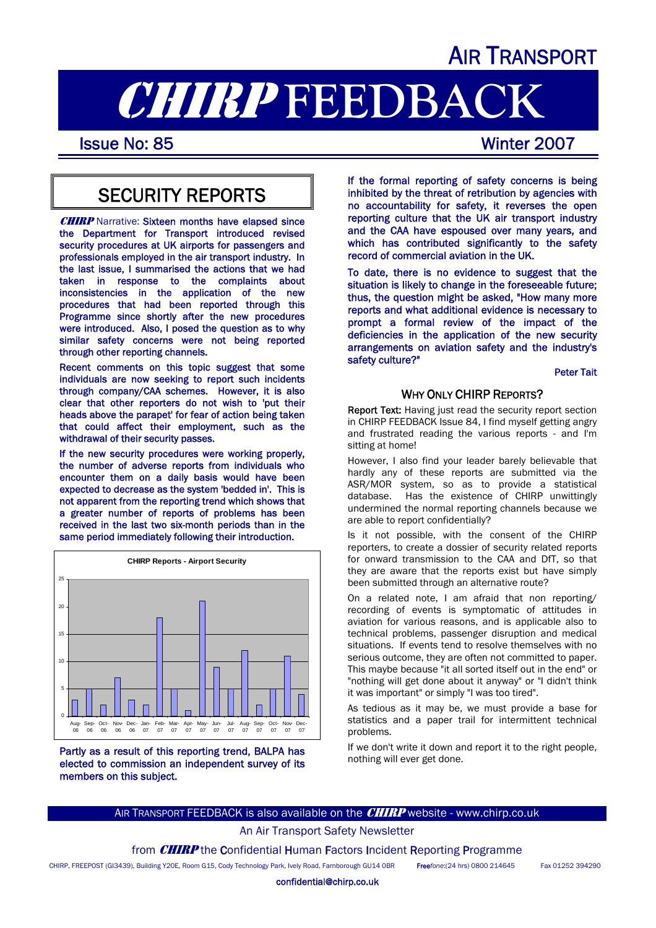## AIR TRANSPORT

# **CHIRP FEEDBACK**<br>Issue No: 85

## SECURITY REPORTS

**CHIRP** Narrative: Sixteen months have elapsed since the Department for Transport introduced revised security procedures at UK airports for passengers and professionals employed in the air transport industry. In the last issue, I summarised the actions that we had taken in response to the complaints about inconsistencies in the application of the new procedures that had been reported through this Programme since shortly after the new procedures were introduced. Also, I posed the question as to why similar safety concerns were not being reported through other reporting channels.

Recent comments on this topic suggest that some individuals are now seeking to report such incidents through company/CAA schemes. However, it is also clear that other reporters do not wish to 'put their heads above the parapet' for fear of action being taken that could affect their employment, such as the withdrawal of their security passes.

If the new security procedures were working properly, the number of adverse reports from individuals who encounter them on a daily basis would have been expected to decrease as the system 'bedded in'. This is not apparent from the reporting trend which shows that a greater number of reports of problems has been received in the last two six-month periods than in the same period immediately following their introduction.



Partly as a result of this reporting trend, BALPA has elected to commission an independent survey of its members on this subject.

If the formal reporting of safety concerns is being inhibited by the threat of retribution by agencies with no accountability for safety, it reverses the open reporting culture that the UK air transport industry and the CAA have espoused over many years, and which has contributed significantly to the safety record of commercial aviation in the UK.

To date, there is no evidence to suggest that the situation is likely to change in the foreseeable future; thus, the question might be asked, "How many more reports and what additional evidence is necessary to prompt a formal review of the impact of the deficiencies in the application of the new security arrangements on aviation safety and the industry's safety culture?"

#### Peter Tait

#### WHY ONLY CHIRP REPORTS?

Report Text: Having just read the security report section in CHIRP FEEDBACK Issue 84, I find myself getting angry and frustrated reading the various reports - and I'm sitting at home!

However, I also find your leader barely believable that hardly any of these reports are submitted via the ASR/MOR system, so as to provide a statistical database. Has the existence of CHIRP unwittingly undermined the normal reporting channels because we are able to report confidentially?

Is it not possible, with the consent of the CHIRP reporters, to create a dossier of security related reports for onward transmission to the CAA and DfT, so that they are aware that the reports exist but have simply been submitted through an alternative route?

On a related note, I am afraid that non reporting/ recording of events is symptomatic of attitudes in aviation for various reasons, and is applicable also to technical problems, passenger disruption and medical situations. If events tend to resolve themselves with no serious outcome, they are often not committed to paper. This maybe because "it all sorted itself out in the end" or "nothing will get done about it anyway" or "I didn't think it was important" or simply "I was too tired".

As tedious as it may be, we must provide a base for statistics and a paper trail for intermittent technical problems.

If we don't write it down and report it to the right people, nothing will ever get done.

#### AIR TRANSPORT FEEDBACK is also available on the **CHIRP** website - www.chirp.co.uk

An Air Transport Safety Newsletter

from **CHIRP** the Confidential Human Factors Incident Reporting Programme

CHIRP, FREEPOST (GI3439), Building Y20E, Room G15, Cody Technology Park, Ively Road, Farnborough GU14 0BR Free*fone*:(24 hrs) 0800 214645 Fax 01252 394290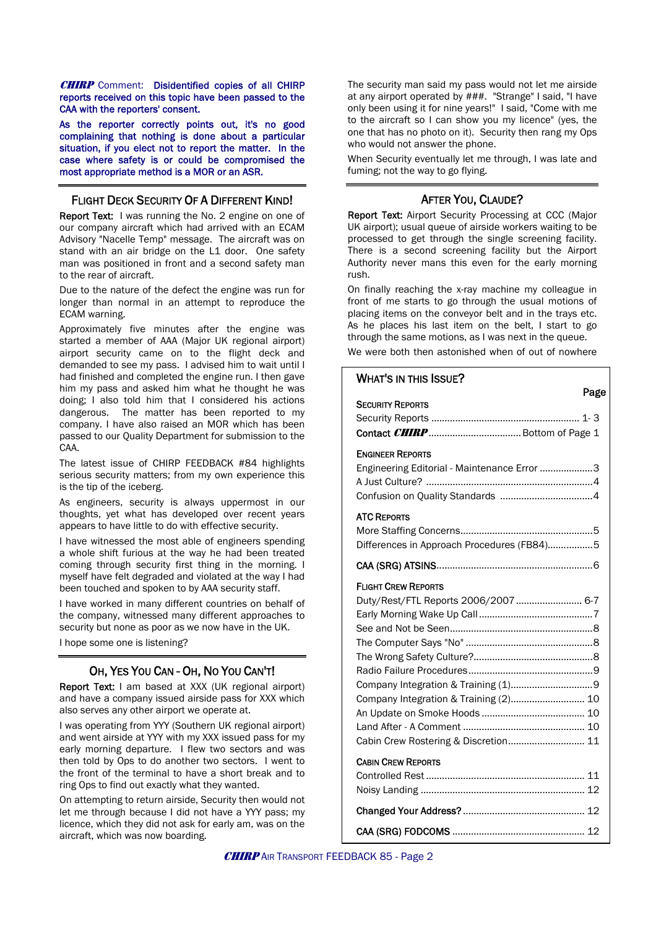**CHIRP** Comment: Disidentified copies of all CHIRP reports received on this topic have been passed to the CAA with the reporters' consent.

As the reporter correctly points out, it's no good complaining that nothing is done about a particular situation, if you elect not to report the matter. In the case where safety is or could be compromised the most appropriate method is a MOR or an ASR.

#### FLIGHT DECK SECURITY OF A DIFFERENT KIND!

Report Text: I was running the No. 2 engine on one of our company aircraft which had arrived with an ECAM Advisory "Nacelle Temp" message. The aircraft was on stand with an air bridge on the L1 door. One safety man was positioned in front and a second safety man to the rear of aircraft.

Due to the nature of the defect the engine was run for longer than normal in an attempt to reproduce the ECAM warning.

Approximately five minutes after the engine was started a member of AAA (Major UK regional airport) airport security came on to the flight deck and demanded to see my pass. I advised him to wait until I had finished and completed the engine run. I then gave him my pass and asked him what he thought he was doing; I also told him that I considered his actions dangerous. The matter has been reported to my company. I have also raised an MOR which has been passed to our Quality Department for submission to the CAA.

The latest issue of CHIRP FEEDBACK #84 highlights serious security matters; from my own experience this is the tip of the iceberg.

As engineers, security is always uppermost in our thoughts, yet what has developed over recent years appears to have little to do with effective security.

I have witnessed the most able of engineers spending a whole shift furious at the way he had been treated coming through security first thing in the morning. I myself have felt degraded and violated at the way I had been touched and spoken to by AAA security staff.

I have worked in many different countries on behalf of the company, witnessed many different approaches to security but none as poor as we now have in the UK.

I hope some one is listening?

#### OH, YES YOU CAN - OH, NO YOU CAN'T!

Report Text: I am based at XXX (UK regional airport) and have a company issued airside pass for XXX which also serves any other airport we operate at.

I was operating from YYY (Southern UK regional airport) and went airside at YYY with my XXX issued pass for my early morning departure. I flew two sectors and was then told by Ops to do another two sectors. I went to the front of the terminal to have a short break and to ring Ops to find out exactly what they wanted.

On attempting to return airside, Security then would not let me through because I did not have a YYY pass; my licence, which they did not ask for early am, was on the aircraft, which was now boarding.

The security man said my pass would not let me airside at any airport operated by ###. "Strange" I said, "I have only been using it for nine years!" I said, "Come with me to the aircraft so I can show you my licence" (yes, the one that has no photo on it). Security then rang my Ops who would not answer the phone.

When Security eventually let me through, I was late and fuming; not the way to go flying.

#### AFTER YOU, CLAUDE?

Report Text: Airport Security Processing at CCC (Major UK airport); usual queue of airside workers waiting to be processed to get through the single screening facility. There is a second screening facility but the Airport Authority never mans this even for the early morning rush.

On finally reaching the x-ray machine my colleague in front of me starts to go through the usual motions of placing items on the conveyor belt and in the trays etc. As he places his last item on the belt, I start to go through the same motions, as I was next in the queue.

We were both then astonished when of out of nowhere

### WHAT'S IN THIS ISSUE?<br>Page SECURITY REPORTS Security Reports ........................................................ 1- 3 Contact CHIRP ................................... Bottom of Page 1 ENGINEER REPORTS Engineering Editorial - Maintenance Error ....................3 A Just Culture? ...............................................................4 Confusion on Quality Standards ...................................4 ATC REPORTS More Staffing Concerns..................................................5 Differences in Approach Procedures (FB84)……...........5 CAA (SRG) ATSINS...........................................................6 FLIGHT CREW REPORTS Duty/Rest/FTL Reports 2006/2007......................... 6-7 Early Morning Wake Up Call...........................................7 See and Not be Seen......................................................8 The Computer Says "No" ................................................8 The Wrong Safety Culture?.............................................8 Radio Failure Procedures...............................................9 Company Integration & Training (1)...............................9 Company Integration & Training (2)............................ 10 An Update on Smoke Hoods ....................................... 10 Land After - A Comment .............................................. 10 Cabin Crew Rostering & Discretion............................. 11 CABIN CREW REPORTS Controlled Rest ............................................................ 11 Noisy Landing .............................................................. 12 Changed Your Address? .............................................. 12 CAA (SRG) FODCOMS .................................................. 12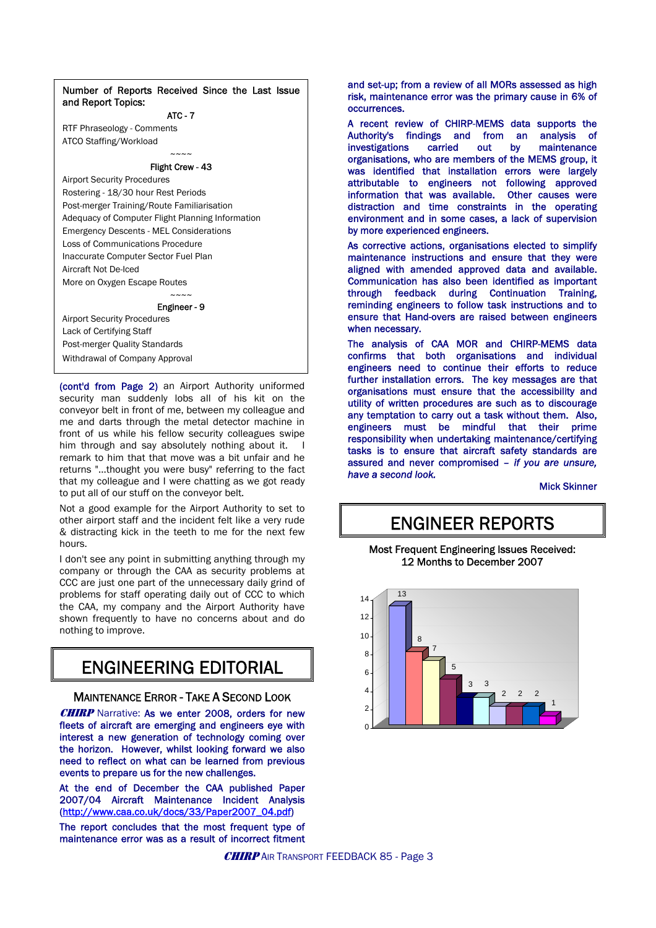Number of Reports Received Since the Last Issue and Report Topics:

#### ATC - 7

RTF Phraseology - Comments ATCO Staffing/Workload

#### $\sim\sim\sim\sim$ Flight Crew - 43

Airport Security Procedures Rostering - 18/30 hour Rest Periods Post-merger Training/Route Familiarisation Adequacy of Computer Flight Planning Information Emergency Descents - MEL Considerations Loss of Communications Procedure Inaccurate Computer Sector Fuel Plan Aircraft Not De-Iced More on Oxygen Escape Routes  $\sim\sim\sim\sim$ 

Engineer - 9

Airport Security Procedures Lack of Certifying Staff Post-merger Quality Standards Withdrawal of Company Approval

(cont'd from Page 2) an Airport Authority uniformed security man suddenly lobs all of his kit on the conveyor belt in front of me, between my colleague and me and darts through the metal detector machine in front of us while his fellow security colleagues swipe him through and say absolutely nothing about it. remark to him that that move was a bit unfair and he returns "...thought you were busy" referring to the fact that my colleague and I were chatting as we got ready to put all of our stuff on the conveyor belt.

Not a good example for the Airport Authority to set to other airport staff and the incident felt like a very rude & distracting kick in the teeth to me for the next few hours.

I don't see any point in submitting anything through my company or through the CAA as security problems at CCC are just one part of the unnecessary daily grind of problems for staff operating daily out of CCC to which the CAA, my company and the Airport Authority have shown frequently to have no concerns about and do nothing to improve.

## ENGINEERING EDITORIAL

#### MAINTENANCE ERROR - TAKE A SECOND LOOK

**CHIRP** Narrative: As we enter 2008, orders for new fleets of aircraft are emerging and engineers eye with interest a new generation of technology coming over the horizon. However, whilst looking forward we also need to reflect on what can be learned from previous events to prepare us for the new challenges.

At the end of December the CAA published Paper 2007/04 Aircraft Maintenance Incident Analysis ([http://www.caa.co.uk/docs/33/Paper2007\\_04.pdf\)](http://www.caa.co.uk/docs/33/Paper2007_04.pdf)

The report concludes that the most frequent type of maintenance error was as a result of incorrect fitment and set-up; from a review of all MORs assessed as high risk, maintenance error was the primary cause in 6% of occurrences.

A recent review of CHIRP-MEMS data supports the Authority's findings and from an analysis of investigations carried out by maintenance organisations, who are members of the MEMS group, it was identified that installation errors were largely attributable to engineers not following approved information that was available. Other causes were distraction and time constraints in the operating environment and in some cases, a lack of supervision by more experienced engineers.

As corrective actions, organisations elected to simplify maintenance instructions and ensure that they were aligned with amended approved data and available. Communication has also been identified as important through feedback during Continuation Training, reminding engineers to follow task instructions and to ensure that Hand-overs are raised between engineers when necessary.

The analysis of CAA MOR and CHIRP-MEMS data confirms that both organisations and individual engineers need to continue their efforts to reduce further installation errors. The key messages are that organisations must ensure that the accessibility and utility of written procedures are such as to discourage any temptation to carry out a task without them. Also, engineers must be mindful that their prime responsibility when undertaking maintenance/certifying tasks is to ensure that aircraft safety standards are assured and never compromised *– if you are unsure, have a second look.* 

Mick Skinner

## ENGINEER REPORTS

Most Frequent Engineering Issues Received: 12 Months to December 2007

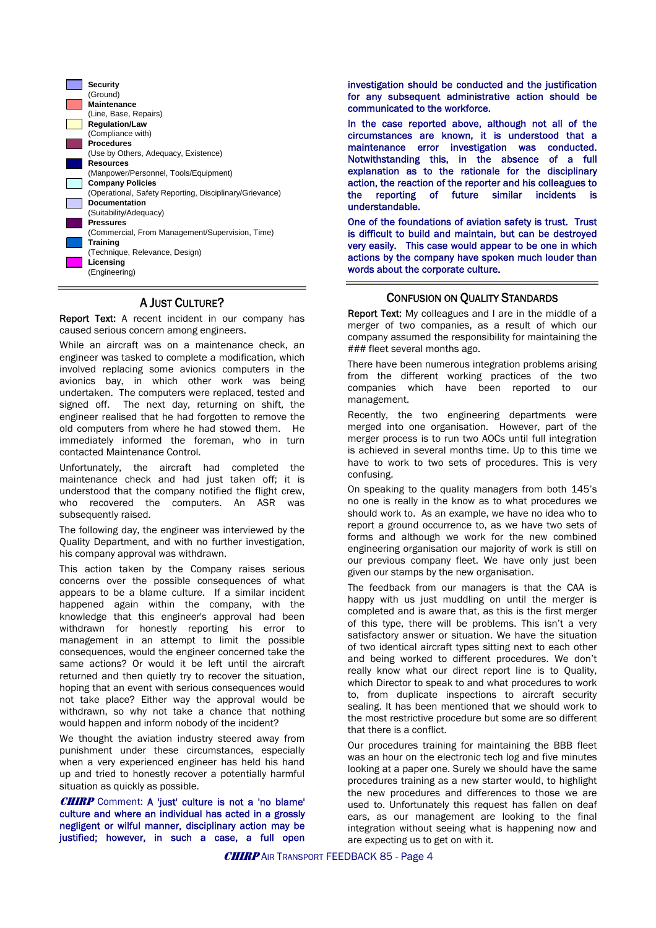

#### A JUST CULTURE?

Report Text: A recent incident in our company has caused serious concern among engineers.

While an aircraft was on a maintenance check, an engineer was tasked to complete a modification, which involved replacing some avionics computers in the avionics bay, in which other work was being undertaken. The computers were replaced, tested and signed off. The next day, returning on shift, the engineer realised that he had forgotten to remove the old computers from where he had stowed them. He immediately informed the foreman, who in turn contacted Maintenance Control.

Unfortunately, the aircraft had completed the maintenance check and had just taken off; it is understood that the company notified the flight crew, who recovered the computers. An ASR was subsequently raised.

The following day, the engineer was interviewed by the Quality Department, and with no further investigation, his company approval was withdrawn.

This action taken by the Company raises serious concerns over the possible consequences of what appears to be a blame culture. If a similar incident happened again within the company, with the knowledge that this engineer's approval had been withdrawn for honestly reporting his error to management in an attempt to limit the possible consequences, would the engineer concerned take the same actions? Or would it be left until the aircraft returned and then quietly try to recover the situation, hoping that an event with serious consequences would not take place? Either way the approval would be withdrawn, so why not take a chance that nothing would happen and inform nobody of the incident?

We thought the aviation industry steered away from punishment under these circumstances, especially when a very experienced engineer has held his hand up and tried to honestly recover a potentially harmful situation as quickly as possible.

CHIRP Comment: A 'just' culture is not a 'no blame' culture and where an individual has acted in a grossly negligent or wilful manner, disciplinary action may be justified; however, in such a case, a full open

investigation should be conducted and the justification for any subsequent administrative action should be communicated to the workforce.

In the case reported above, although not all of the circumstances are known, it is understood that a maintenance error investigation was conducted. Notwithstanding this, in the absence of a full explanation as to the rationale for the disciplinary action, the reaction of the reporter and his colleagues to the reporting of future similar incidents is understandable.

One of the foundations of aviation safety is trust. Trust is difficult to build and maintain, but can be destroyed very easily. This case would appear to be one in which actions by the company have spoken much louder than words about the corporate culture.

#### CONFUSION ON QUALITY STANDARDS

Report Text: My colleagues and I are in the middle of a merger of two companies, as a result of which our company assumed the responsibility for maintaining the ### fleet several months ago.

There have been numerous integration problems arising from the different working practices of the two companies which have been reported to our management.

Recently, the two engineering departments were merged into one organisation. However, part of the merger process is to run two AOCs until full integration is achieved in several months time. Up to this time we have to work to two sets of procedures. This is very confusing.

On speaking to the quality managers from both 145's no one is really in the know as to what procedures we should work to. As an example, we have no idea who to report a ground occurrence to, as we have two sets of forms and although we work for the new combined engineering organisation our majority of work is still on our previous company fleet. We have only just been given our stamps by the new organisation.

The feedback from our managers is that the CAA is happy with us just muddling on until the merger is completed and is aware that, as this is the first merger of this type, there will be problems. This isn't a very satisfactory answer or situation. We have the situation of two identical aircraft types sitting next to each other and being worked to different procedures. We don't really know what our direct report line is to Quality, which Director to speak to and what procedures to work to, from duplicate inspections to aircraft security sealing. It has been mentioned that we should work to the most restrictive procedure but some are so different that there is a conflict.

Our procedures training for maintaining the BBB fleet was an hour on the electronic tech log and five minutes looking at a paper one. Surely we should have the same procedures training as a new starter would, to highlight the new procedures and differences to those we are used to. Unfortunately this request has fallen on deaf ears, as our management are looking to the final integration without seeing what is happening now and are expecting us to get on with it.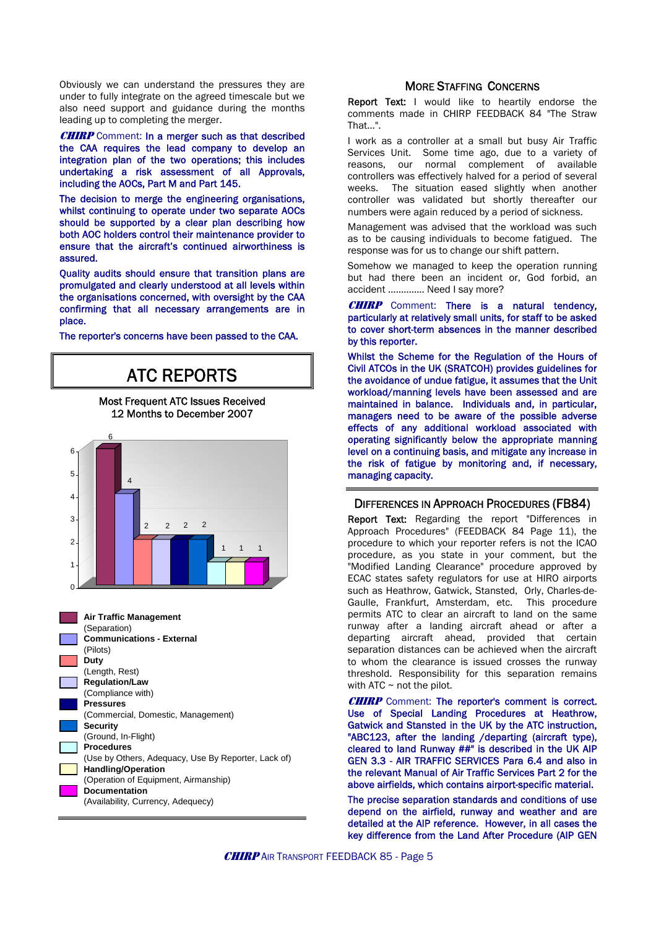Obviously we can understand the pressures they are under to fully integrate on the agreed timescale but we also need support and guidance during the months leading up to completing the merger.

**CHIRP** Comment: In a merger such as that described the CAA requires the lead company to develop an integration plan of the two operations; this includes undertaking a risk assessment of all Approvals, including the AOCs, Part M and Part 145.

The decision to merge the engineering organisations, whilst continuing to operate under two separate AOCs should be supported by a clear plan describing how both AOC holders control their maintenance provider to ensure that the aircraft's continued airworthiness is assured.

Quality audits should ensure that transition plans are promulgated and clearly understood at all levels within the organisations concerned, with oversight by the CAA confirming that all necessary arrangements are in place.

The reporter's concerns have been passed to the CAA.



#### MORE STAFFING CONCERNS

Report Text: I would like to heartily endorse the comments made in CHIRP FEEDBACK 84 "The Straw That…".

I work as a controller at a small but busy Air Traffic Services Unit. Some time ago, due to a variety of reasons, our normal complement of available controllers was effectively halved for a period of several weeks. The situation eased slightly when another controller was validated but shortly thereafter our numbers were again reduced by a period of sickness.

Management was advised that the workload was such as to be causing individuals to become fatigued. The response was for us to change our shift pattern.

Somehow we managed to keep the operation running but had there been an incident or, God forbid, an accident ………….. Need I say more?

**CHIRP** Comment: There is a natural tendency, particularly at relatively small units, for staff to be asked to cover short-term absences in the manner described by this reporter.

Whilst the Scheme for the Regulation of the Hours of Civil ATCOs in the UK (SRATCOH) provides guidelines for the avoidance of undue fatigue, it assumes that the Unit workload/manning levels have been assessed and are maintained in balance. Individuals and, in particular, managers need to be aware of the possible adverse effects of any additional workload associated with operating significantly below the appropriate manning level on a continuing basis, and mitigate any increase in the risk of fatigue by monitoring and, if necessary, managing capacity.

#### DIFFERENCES IN APPROACH PROCEDURES (FB84)

Report Text: Regarding the report "Differences in Approach Procedures" (FEEDBACK 84 Page 11), the procedure to which your reporter refers is not the ICAO procedure, as you state in your comment, but the "Modified Landing Clearance" procedure approved by ECAC states safety regulators for use at HIRO airports such as Heathrow, Gatwick, Stansted, Orly, Charles-de-Gaulle, Frankfurt, Amsterdam, etc. This procedure permits ATC to clear an aircraft to land on the same runway after a landing aircraft ahead or after a departing aircraft ahead, provided that certain separation distances can be achieved when the aircraft to whom the clearance is issued crosses the runway threshold. Responsibility for this separation remains with ATC  $\sim$  not the pilot.

**CHIRP** Comment: The reporter's comment is correct. Use of Special Landing Procedures at Heathrow, Gatwick and Stansted in the UK by the ATC instruction, "ABC123, after the landing /departing (aircraft type), cleared to land Runway ##" is described in the UK AIP GEN 3.3 - AIR TRAFFIC SERVICES Para 6.4 and also in the relevant Manual of Air Traffic Services Part 2 for the above airfields, which contains airport-specific material.

The precise separation standards and conditions of use depend on the airfield, runway and weather and are detailed at the AIP reference. However, in all cases the key difference from the Land After Procedure (AIP GEN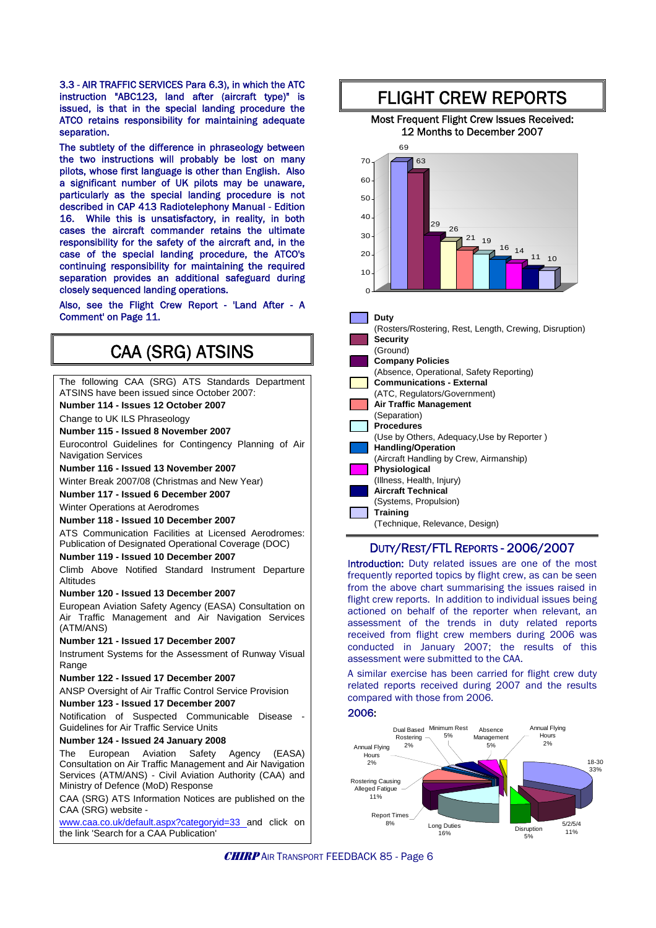3.3 - AIR TRAFFIC SERVICES Para 6.3), in which the ATC instruction "ABC123, land after (aircraft type)" is issued, is that in the special landing procedure the ATCO retains responsibility for maintaining adequate separation.

The subtlety of the difference in phraseology between the two instructions will probably be lost on many pilots, whose first language is other than English. Also a significant number of UK pilots may be unaware, particularly as the special landing procedure is not described in CAP 413 Radiotelephony Manual - Edition 16. While this is unsatisfactory, in reality, in both cases the aircraft commander retains the ultimate responsibility for the safety of the aircraft and, in the case of the special landing procedure, the ATCO's continuing responsibility for maintaining the required separation provides an additional safeguard during closely sequenced landing operations.

Also, see the Flight Crew Report - 'Land After - A Comment' on Page 11.

## CAA (SRG) ATSINS

| The following CAA (SRG) ATS Standards Department<br>ATSINS have been issued since October 2007:                                                                                                             |  |
|-------------------------------------------------------------------------------------------------------------------------------------------------------------------------------------------------------------|--|
| Number 114 - Issues 12 October 2007                                                                                                                                                                         |  |
| Change to UK ILS Phraseology                                                                                                                                                                                |  |
| Number 115 - Issued 8 November 2007                                                                                                                                                                         |  |
| Eurocontrol Guidelines for Contingency Planning of Air<br><b>Navigation Services</b>                                                                                                                        |  |
| Number 116 - Issued 13 November 2007                                                                                                                                                                        |  |
| Winter Break 2007/08 (Christmas and New Year)                                                                                                                                                               |  |
| Number 117 - Issued 6 December 2007                                                                                                                                                                         |  |
| <b>Winter Operations at Aerodromes</b>                                                                                                                                                                      |  |
| Number 118 - Issued 10 December 2007                                                                                                                                                                        |  |
| ATS Communication Facilities at Licensed Aerodromes:<br>Publication of Designated Operational Coverage (DOC)                                                                                                |  |
| Number 119 - Issued 10 December 2007                                                                                                                                                                        |  |
| Climb Above Notified Standard Instrument Departure<br>Altitudes                                                                                                                                             |  |
| Number 120 - Issued 13 December 2007                                                                                                                                                                        |  |
| European Aviation Safety Agency (EASA) Consultation on<br>Air Traffic Management and Air Navigation Services<br>(ATM/ANS)                                                                                   |  |
| Number 121 - Issued 17 December 2007                                                                                                                                                                        |  |
| Instrument Systems for the Assessment of Runway Visual<br>Range                                                                                                                                             |  |
| Number 122 - Issued 17 December 2007                                                                                                                                                                        |  |
| ANSP Oversight of Air Traffic Control Service Provision                                                                                                                                                     |  |
| Number 123 - Issued 17 December 2007                                                                                                                                                                        |  |
| Notification of Suspected Communicable Disease<br><b>Guidelines for Air Traffic Service Units</b>                                                                                                           |  |
| Number 124 - Issued 24 January 2008                                                                                                                                                                         |  |
| European Aviation Safety Agency (EASA)<br>The<br>Consultation on Air Traffic Management and Air Navigation<br>Services (ATM/ANS) - Civil Aviation Authority (CAA) and<br>Ministry of Defence (MoD) Response |  |
| CAA (SRG) ATS Information Notices are published on the<br>CAA (SRG) website -                                                                                                                               |  |
| www.caa.co.uk/default.aspx?categoryid=33_and click on<br>the link 'Search for a CAA Publication'                                                                                                            |  |



#### Most Frequent Flight Crew Issues Received: 12 Months to December 2007



| (Rosters/Rostering, Rest, Length, Crewing, Disruption) |
|--------------------------------------------------------|
| <b>Security</b>                                        |
| (Ground)                                               |
| <b>Company Policies</b>                                |
| (Absence, Operational, Safety Reporting)               |
| <b>Communications - External</b>                       |
| (ATC, Regulators/Government)                           |
| <b>Air Traffic Management</b>                          |
| (Separation)                                           |
| <b>Procedures</b>                                      |
| (Use by Others, Adequacy, Use by Reporter)             |
| <b>Handling/Operation</b>                              |
| (Aircraft Handling by Crew, Airmanship)                |
| Physiological                                          |
| (Illness, Health, Injury)                              |
| <b>Aircraft Technical</b>                              |
| (Systems, Propulsion)                                  |
| Training                                               |
| (Technique, Relevance, Design)                         |
|                                                        |

#### DUTY/REST/FTL REPORTS - 2006/2007

Introduction: Duty related issues are one of the most frequently reported topics by flight crew, as can be seen from the above chart summarising the issues raised in flight crew reports. In addition to individual issues being actioned on behalf of the reporter when relevant, an assessment of the trends in duty related reports received from flight crew members during 2006 was conducted in January 2007; the results of this assessment were submitted to the CAA.

A similar exercise has been carried for flight crew duty related reports received during 2007 and the results compared with those from 2006.

#### 2006:



**CHIRP** AIR TRANSPORT FEEDBACK 85 - Page 6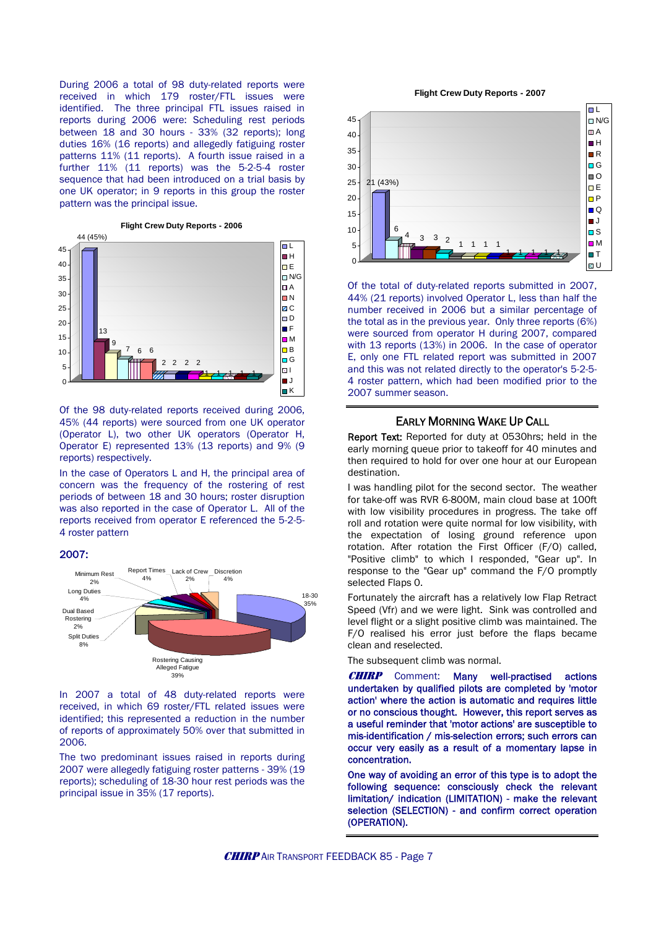During 2006 a total of 98 duty-related reports were received in which 179 roster/FTL issues were identified. The three principal FTL issues raised in reports during 2006 were: Scheduling rest periods between 18 and 30 hours - 33% (32 reports); long duties 16% (16 reports) and allegedly fatiguing roster patterns 11% (11 reports). A fourth issue raised in a further 11% (11 reports) was the 5-2-5-4 roster sequence that had been introduced on a trial basis by one UK operator; in 9 reports in this group the roster pattern was the principal issue.



Of the 98 duty-related reports received during 2006, 45% (44 reports) were sourced from one UK operator (Operator L), two other UK operators (Operator H, Operator E) represented 13% (13 reports) and 9% (9 reports) respectively.

In the case of Operators L and H, the principal area of concern was the frequency of the rostering of rest periods of between 18 and 30 hours; roster disruption was also reported in the case of Operator L. All of the reports received from operator E referenced the 5-2-5- 4 roster pattern

#### 2007:



In 2007 a total of 48 duty-related reports were received, in which 69 roster/FTL related issues were identified; this represented a reduction in the number of reports of approximately 50% over that submitted in 2006.

The two predominant issues raised in reports during 2007 were allegedly fatiguing roster patterns - 39% (19 reports); scheduling of 18-30 hour rest periods was the principal issue in 35% (17 reports).

**Flight Crew Duty Reports - 2007**



 Of the total of duty-related reports submitted in 2007, 44% (21 reports) involved Operator L, less than half the number received in 2006 but a similar percentage of the total as in the previous year. Only three reports (6%) were sourced from operator H during 2007, compared with 13 reports (13%) in 2006. In the case of operator E, only one FTL related report was submitted in 2007 and this was not related directly to the operator's 5-2-5- 4 roster pattern, which had been modified prior to the 2007 summer season.

#### EARLY MORNING WAKE UP CALL

Report Text: Reported for duty at 0530hrs; held in the early morning queue prior to takeoff for 40 minutes and then required to hold for over one hour at our European destination.

I was handling pilot for the second sector. The weather for take-off was RVR 6-800M, main cloud base at 100ft with low visibility procedures in progress. The take off roll and rotation were quite normal for low visibility, with the expectation of losing ground reference upon rotation. After rotation the First Officer (F/O) called, "Positive climb" to which I responded, "Gear up". In response to the "Gear up" command the F/O promptly selected Flaps 0.

Fortunately the aircraft has a relatively low Flap Retract Speed (Vfr) and we were light. Sink was controlled and level flight or a slight positive climb was maintained. The F/O realised his error just before the flaps became clean and reselected.

The subsequent climb was normal.

**CHIRP** Comment: Many well-practised actions undertaken by qualified pilots are completed by 'motor action' where the action is automatic and requires little or no conscious thought. However, this report serves as a useful reminder that 'motor actions' are susceptible to mis-identification / mis-selection errors; such errors can occur very easily as a result of a momentary lapse in concentration.

One way of avoiding an error of this type is to adopt the following sequence: consciously check the relevant limitation/ indication (LIMITATION) - make the relevant selection (SELECTION) - and confirm correct operation (OPERATION).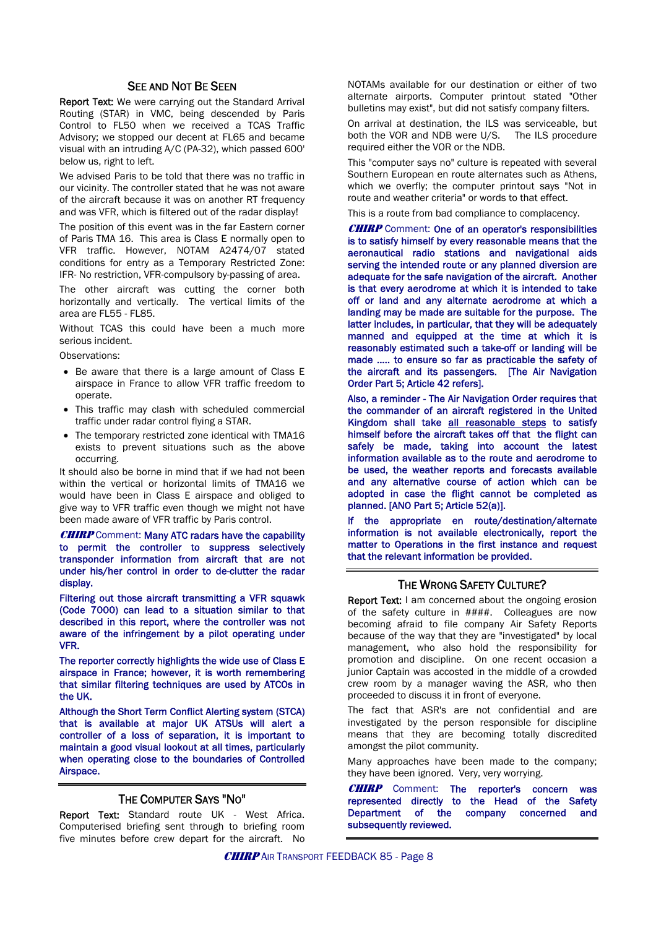#### SEE AND NOT BE SEEN

Report Text: We were carrying out the Standard Arrival Routing (STAR) in VMC, being descended by Paris Control to FL50 when we received a TCAS Traffic Advisory; we stopped our decent at FL65 and became visual with an intruding A/C (PA-32), which passed 600' below us, right to left.

We advised Paris to be told that there was no traffic in our vicinity. The controller stated that he was not aware of the aircraft because it was on another RT frequency and was VFR, which is filtered out of the radar display!

The position of this event was in the far Eastern corner of Paris TMA 16. This area is Class E normally open to VFR traffic. However, NOTAM A2474/07 stated conditions for entry as a Temporary Restricted Zone: IFR- No restriction, VFR-compulsory by-passing of area.

The other aircraft was cutting the corner both horizontally and vertically. The vertical limits of the area are FL55 - FL85.

Without TCAS this could have been a much more serious incident.

Observations:

- Be aware that there is a large amount of Class E airspace in France to allow VFR traffic freedom to operate.
- This traffic may clash with scheduled commercial traffic under radar control flying a STAR.
- The temporary restricted zone identical with TMA16 exists to prevent situations such as the above occurring.

It should also be borne in mind that if we had not been within the vertical or horizontal limits of TMA16 we would have been in Class E airspace and obliged to give way to VFR traffic even though we might not have been made aware of VFR traffic by Paris control.

#### **CHIRP** Comment: Many ATC radars have the capability to permit the controller to suppress selectively transponder information from aircraft that are not under his/her control in order to de-clutter the radar display.

Filtering out those aircraft transmitting a VFR squawk (Code 7000) can lead to a situation similar to that described in this report, where the controller was not aware of the infringement by a pilot operating under VFR.

The reporter correctly highlights the wide use of Class E airspace in France; however, it is worth remembering that similar filtering techniques are used by ATCOs in the UK.

Although the Short Term Conflict Alerting system (STCA) that is available at major UK ATSUs will alert a controller of a loss of separation, it is important to maintain a good visual lookout at all times, particularly when operating close to the boundaries of Controlled Airspace.

#### THE COMPUTER SAYS "NO"

Report Text: Standard route UK - West Africa. Computerised briefing sent through to briefing room five minutes before crew depart for the aircraft. No NOTAMs available for our destination or either of two alternate airports. Computer printout stated "Other bulletins may exist", but did not satisfy company filters.

On arrival at destination, the ILS was serviceable, but both the VOR and NDB were U/S. The ILS procedure required either the VOR or the NDB.

This "computer says no" culture is repeated with several Southern European en route alternates such as Athens, which we overfly; the computer printout says "Not in route and weather criteria" or words to that effect.

This is a route from bad compliance to complacency.

**CHIRP** Comment: One of an operator's responsibilities is to satisfy himself by every reasonable means that the aeronautical radio stations and navigational aids serving the intended route or any planned diversion are adequate for the safe navigation of the aircraft. Another is that every aerodrome at which it is intended to take off or land and any alternate aerodrome at which a landing may be made are suitable for the purpose. The latter includes, in particular, that they will be adequately manned and equipped at the time at which it is reasonably estimated such a take-off or landing will be made ….. to ensure so far as practicable the safety of the aircraft and its passengers. [The Air Navigation Order Part 5; Article 42 refers].

Also, a reminder - The Air Navigation Order requires that the commander of an aircraft registered in the United Kingdom shall take all reasonable steps to satisfy himself before the aircraft takes off that the flight can safely be made, taking into account the latest information available as to the route and aerodrome to be used, the weather reports and forecasts available and any alternative course of action which can be adopted in case the flight cannot be completed as planned. [ANO Part 5; Article 52(a)].

If the appropriate en route/destination/alternate information is not available electronically, report the matter to Operations in the first instance and request that the relevant information be provided.

#### THE WRONG SAFETY CULTURE?

**Report Text:** I am concerned about the ongoing erosion of the safety culture in ####. Colleagues are now becoming afraid to file company Air Safety Reports because of the way that they are "investigated" by local management, who also hold the responsibility for promotion and discipline. On one recent occasion a junior Captain was accosted in the middle of a crowded crew room by a manager waving the ASR, who then proceeded to discuss it in front of everyone.

The fact that ASR's are not confidential and are investigated by the person responsible for discipline means that they are becoming totally discredited amongst the pilot community.

Many approaches have been made to the company; they have been ignored. Very, very worrying.

**CHIRP** Comment: The reporter's concern was represented directly to the Head of the Safety Department of the company concerned and subsequently reviewed.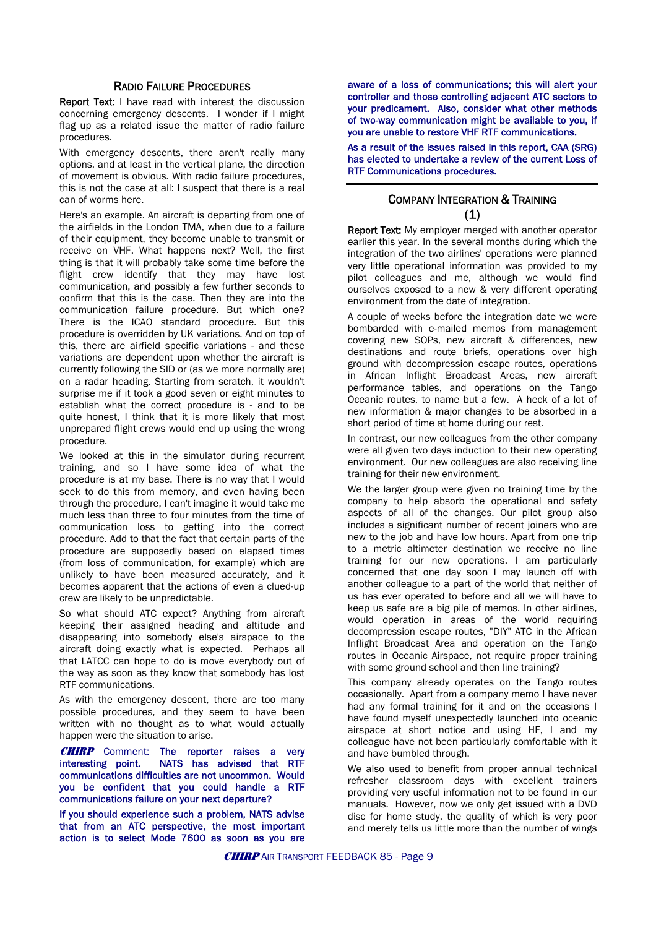#### RADIO FAILURE PROCEDURES

Report Text: I have read with interest the discussion concerning emergency descents. I wonder if I might flag up as a related issue the matter of radio failure procedures.

With emergency descents, there aren't really many options, and at least in the vertical plane, the direction of movement is obvious. With radio failure procedures, this is not the case at all: I suspect that there is a real can of worms here.

Here's an example. An aircraft is departing from one of the airfields in the London TMA, when due to a failure of their equipment, they become unable to transmit or receive on VHF. What happens next? Well, the first thing is that it will probably take some time before the flight crew identify that they may have lost communication, and possibly a few further seconds to confirm that this is the case. Then they are into the communication failure procedure. But which one? There is the ICAO standard procedure. But this procedure is overridden by UK variations. And on top of this, there are airfield specific variations - and these variations are dependent upon whether the aircraft is currently following the SID or (as we more normally are) on a radar heading. Starting from scratch, it wouldn't surprise me if it took a good seven or eight minutes to establish what the correct procedure is - and to be quite honest, I think that it is more likely that most unprepared flight crews would end up using the wrong procedure.

We looked at this in the simulator during recurrent training, and so I have some idea of what the procedure is at my base. There is no way that I would seek to do this from memory, and even having been through the procedure, I can't imagine it would take me much less than three to four minutes from the time of communication loss to getting into the correct procedure. Add to that the fact that certain parts of the procedure are supposedly based on elapsed times (from loss of communication, for example) which are unlikely to have been measured accurately, and it becomes apparent that the actions of even a clued-up crew are likely to be unpredictable.

So what should ATC expect? Anything from aircraft keeping their assigned heading and altitude and disappearing into somebody else's airspace to the aircraft doing exactly what is expected. Perhaps all that LATCC can hope to do is move everybody out of the way as soon as they know that somebody has lost RTF communications.

As with the emergency descent, there are too many possible procedures, and they seem to have been written with no thought as to what would actually happen were the situation to arise.

**CHIRP** Comment: The reporter raises a very interesting point. NATS has advised that RTF communications difficulties are not uncommon. Would you be confident that you could handle a RTF communications failure on your next departure?

If you should experience such a problem, NATS advise that from an ATC perspective, the most important action is to select Mode 7600 as soon as you are

aware of a loss of communications; this will alert your controller and those controlling adjacent ATC sectors to your predicament. Also, consider what other methods of two-way communication might be available to you, if you are unable to restore VHF RTF communications.

As a result of the issues raised in this report, CAA (SRG) has elected to undertake a review of the current Loss of RTF Communications procedures.

#### COMPANY INTEGRATION & TRAINING (1)

Report Text: My employer merged with another operator earlier this year. In the several months during which the integration of the two airlines' operations were planned very little operational information was provided to my pilot colleagues and me, although we would find ourselves exposed to a new & very different operating environment from the date of integration.

A couple of weeks before the integration date we were bombarded with e-mailed memos from management covering new SOPs, new aircraft & differences, new destinations and route briefs, operations over high ground with decompression escape routes, operations in African Inflight Broadcast Areas, new aircraft performance tables, and operations on the Tango Oceanic routes, to name but a few. A heck of a lot of new information & major changes to be absorbed in a short period of time at home during our rest.

In contrast, our new colleagues from the other company were all given two days induction to their new operating environment. Our new colleagues are also receiving line training for their new environment.

We the larger group were given no training time by the company to help absorb the operational and safety aspects of all of the changes. Our pilot group also includes a significant number of recent joiners who are new to the job and have low hours. Apart from one trip to a metric altimeter destination we receive no line training for our new operations. I am particularly concerned that one day soon I may launch off with another colleague to a part of the world that neither of us has ever operated to before and all we will have to keep us safe are a big pile of memos. In other airlines, would operation in areas of the world requiring decompression escape routes, "DIY" ATC in the African Inflight Broadcast Area and operation on the Tango routes in Oceanic Airspace, not require proper training with some ground school and then line training?

This company already operates on the Tango routes occasionally. Apart from a company memo I have never had any formal training for it and on the occasions I have found myself unexpectedly launched into oceanic airspace at short notice and using HF, I and my colleague have not been particularly comfortable with it and have bumbled through.

We also used to benefit from proper annual technical refresher classroom days with excellent trainers providing very useful information not to be found in our manuals. However, now we only get issued with a DVD disc for home study, the quality of which is very poor and merely tells us little more than the number of wings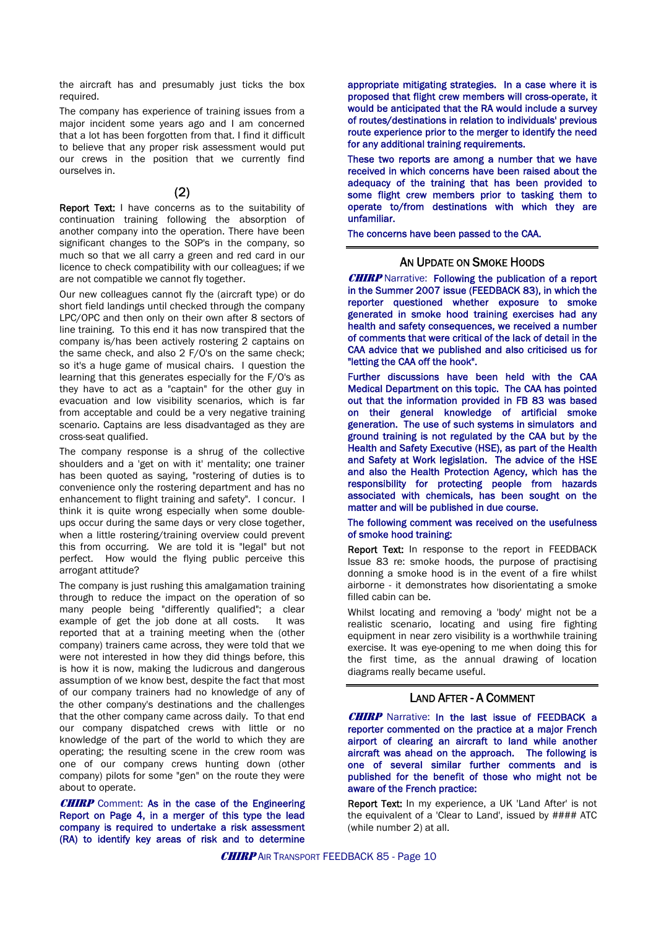the aircraft has and presumably just ticks the box required.

The company has experience of training issues from a major incident some years ago and I am concerned that a lot has been forgotten from that. I find it difficult to believe that any proper risk assessment would put our crews in the position that we currently find ourselves in.

#### (2)

Report Text: I have concerns as to the suitability of continuation training following the absorption of another company into the operation. There have been significant changes to the SOP's in the company, so much so that we all carry a green and red card in our licence to check compatibility with our colleagues; if we are not compatible we cannot fly together.

Our new colleagues cannot fly the (aircraft type) or do short field landings until checked through the company LPC/OPC and then only on their own after 8 sectors of line training. To this end it has now transpired that the company is/has been actively rostering 2 captains on the same check, and also 2 F/O's on the same check; so it's a huge game of musical chairs. I question the learning that this generates especially for the F/O's as they have to act as a "captain" for the other guy in evacuation and low visibility scenarios, which is far from acceptable and could be a very negative training scenario. Captains are less disadvantaged as they are cross-seat qualified.

The company response is a shrug of the collective shoulders and a 'get on with it' mentality; one trainer has been quoted as saying, "rostering of duties is to convenience only the rostering department and has no enhancement to flight training and safety". I concur. I think it is quite wrong especially when some doubleups occur during the same days or very close together, when a little rostering/training overview could prevent this from occurring. We are told it is "legal" but not perfect. How would the flying public perceive this arrogant attitude?

The company is just rushing this amalgamation training through to reduce the impact on the operation of so many people being "differently qualified"; a clear example of get the job done at all costs. It was reported that at a training meeting when the (other company) trainers came across, they were told that we were not interested in how they did things before, this is how it is now, making the ludicrous and dangerous assumption of we know best, despite the fact that most of our company trainers had no knowledge of any of the other company's destinations and the challenges that the other company came across daily. To that end our company dispatched crews with little or no knowledge of the part of the world to which they are operating; the resulting scene in the crew room was one of our company crews hunting down (other company) pilots for some "gen" on the route they were about to operate.

**CHIRP** Comment: As in the case of the Engineering Report on Page 4, in a merger of this type the lead company is required to undertake a risk assessment (RA) to identify key areas of risk and to determine

appropriate mitigating strategies. In a case where it is proposed that flight crew members will cross-operate, it would be anticipated that the RA would include a survey of routes/destinations in relation to individuals' previous route experience prior to the merger to identify the need for any additional training requirements.

These two reports are among a number that we have received in which concerns have been raised about the adequacy of the training that has been provided to some flight crew members prior to tasking them to operate to/from destinations with which they are unfamiliar.

The concerns have been passed to the CAA.

#### AN UPDATE ON SMOKE HOODS

**CHIRP** Narrative: Following the publication of a report in the Summer 2007 issue (FEEDBACK 83), in which the reporter questioned whether exposure to smoke generated in smoke hood training exercises had any health and safety consequences, we received a number of comments that were critical of the lack of detail in the CAA advice that we published and also criticised us for "letting the CAA off the hook".

Further discussions have been held with the CAA Medical Department on this topic. The CAA has pointed out that the information provided in FB 83 was based on their general knowledge of artificial smoke generation. The use of such systems in simulators and ground training is not regulated by the CAA but by the Health and Safety Executive (HSE), as part of the Health and Safety at Work legislation. The advice of the HSE and also the Health Protection Agency, which has the responsibility for protecting people from hazards associated with chemicals, has been sought on the matter and will be published in due course.

#### The following comment was received on the usefulness of smoke hood training:

Report Text: In response to the report in FEEDBACK Issue 83 re: smoke hoods, the purpose of practising donning a smoke hood is in the event of a fire whilst airborne - it demonstrates how disorientating a smoke filled cabin can be.

Whilst locating and removing a 'body' might not be a realistic scenario, locating and using fire fighting equipment in near zero visibility is a worthwhile training exercise. It was eye-opening to me when doing this for the first time, as the annual drawing of location diagrams really became useful.

#### LAND AFTER - A COMMENT

**CHIRP** Narrative: In the last issue of FEEDBACK a reporter commented on the practice at a major French airport of clearing an aircraft to land while another aircraft was ahead on the approach. The following is one of several similar further comments and is published for the benefit of those who might not be aware of the French practice:

Report Text: In my experience, a UK 'Land After' is not the equivalent of a 'Clear to Land', issued by #### ATC (while number 2) at all.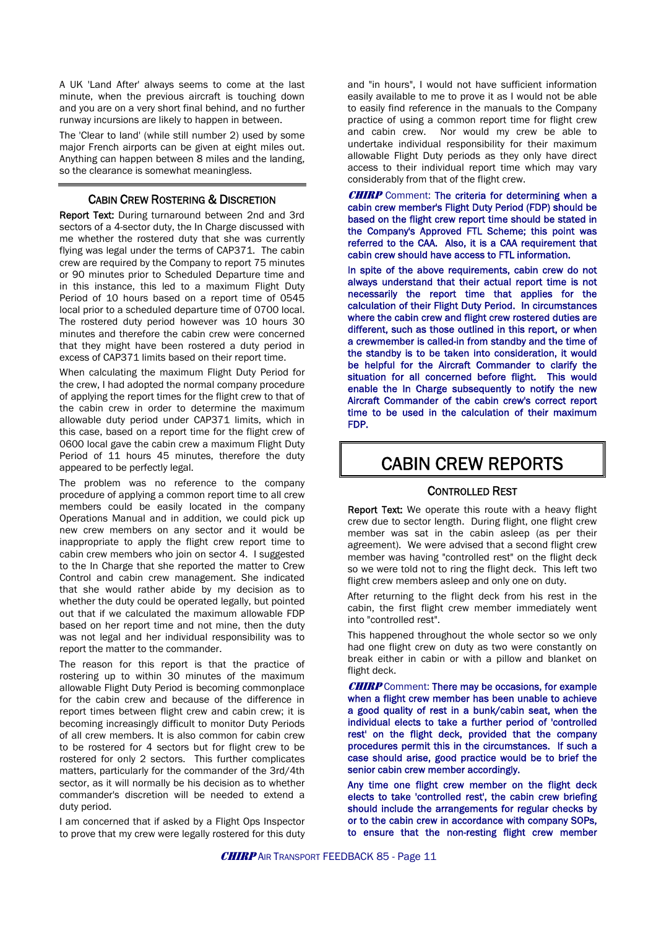A UK 'Land After' always seems to come at the last minute, when the previous aircraft is touching down and you are on a very short final behind, and no further runway incursions are likely to happen in between.

The 'Clear to land' (while still number 2) used by some major French airports can be given at eight miles out. Anything can happen between 8 miles and the landing, so the clearance is somewhat meaningless.

#### CABIN CREW ROSTERING & DISCRETION

Report Text: During turnaround between 2nd and 3rd sectors of a 4-sector duty, the In Charge discussed with me whether the rostered duty that she was currently flying was legal under the terms of CAP371. The cabin crew are required by the Company to report 75 minutes or 90 minutes prior to Scheduled Departure time and in this instance, this led to a maximum Flight Duty Period of 10 hours based on a report time of 0545 local prior to a scheduled departure time of 0700 local. The rostered duty period however was 10 hours 30 minutes and therefore the cabin crew were concerned that they might have been rostered a duty period in excess of CAP371 limits based on their report time.

When calculating the maximum Flight Duty Period for the crew, I had adopted the normal company procedure of applying the report times for the flight crew to that of the cabin crew in order to determine the maximum allowable duty period under CAP371 limits, which in this case, based on a report time for the flight crew of 0600 local gave the cabin crew a maximum Flight Duty Period of 11 hours 45 minutes, therefore the duty appeared to be perfectly legal.

The problem was no reference to the company procedure of applying a common report time to all crew members could be easily located in the company Operations Manual and in addition, we could pick up new crew members on any sector and it would be inappropriate to apply the flight crew report time to cabin crew members who join on sector 4. I suggested to the In Charge that she reported the matter to Crew Control and cabin crew management. She indicated that she would rather abide by my decision as to whether the duty could be operated legally, but pointed out that if we calculated the maximum allowable FDP based on her report time and not mine, then the duty was not legal and her individual responsibility was to report the matter to the commander.

The reason for this report is that the practice of rostering up to within 30 minutes of the maximum allowable Flight Duty Period is becoming commonplace for the cabin crew and because of the difference in report times between flight crew and cabin crew; it is becoming increasingly difficult to monitor Duty Periods of all crew members. It is also common for cabin crew to be rostered for 4 sectors but for flight crew to be rostered for only 2 sectors. This further complicates matters, particularly for the commander of the 3rd/4th sector, as it will normally be his decision as to whether commander's discretion will be needed to extend a duty period.

I am concerned that if asked by a Flight Ops Inspector to prove that my crew were legally rostered for this duty and "in hours", I would not have sufficient information easily available to me to prove it as I would not be able to easily find reference in the manuals to the Company practice of using a common report time for flight crew and cabin crew. Nor would my crew be able to undertake individual responsibility for their maximum allowable Flight Duty periods as they only have direct access to their individual report time which may vary considerably from that of the flight crew.

**CHIRP** Comment: The criteria for determining when a cabin crew member's Flight Duty Period (FDP) should be based on the flight crew report time should be stated in the Company's Approved FTL Scheme; this point was referred to the CAA. Also, it is a CAA requirement that cabin crew should have access to FTL information.

In spite of the above requirements, cabin crew do not always understand that their actual report time is not necessarily the report time that applies for the calculation of their Flight Duty Period. In circumstances where the cabin crew and flight crew rostered duties are different, such as those outlined in this report, or when a crewmember is called-in from standby and the time of the standby is to be taken into consideration, it would be helpful for the Aircraft Commander to clarify the situation for all concerned before flight. This would enable the In Charge subsequently to notify the new Aircraft Commander of the cabin crew's correct report time to be used in the calculation of their maximum FDP.

## CABIN CREW REPORTS

#### CONTROLLED REST

Report Text: We operate this route with a heavy flight crew due to sector length. During flight, one flight crew member was sat in the cabin asleep (as per their agreement). We were advised that a second flight crew member was having "controlled rest" on the flight deck so we were told not to ring the flight deck. This left two flight crew members asleep and only one on duty.

After returning to the flight deck from his rest in the cabin, the first flight crew member immediately went into "controlled rest".

This happened throughout the whole sector so we only had one flight crew on duty as two were constantly on break either in cabin or with a pillow and blanket on flight deck.

**CHIRP** Comment: There may be occasions, for example when a flight crew member has been unable to achieve a good quality of rest in a bunk/cabin seat, when the individual elects to take a further period of 'controlled rest' on the flight deck, provided that the company procedures permit this in the circumstances. If such a case should arise, good practice would be to brief the senior cabin crew member accordingly.

Any time one flight crew member on the flight deck elects to take 'controlled rest', the cabin crew briefing should include the arrangements for regular checks by or to the cabin crew in accordance with company SOPs, to ensure that the non-resting flight crew member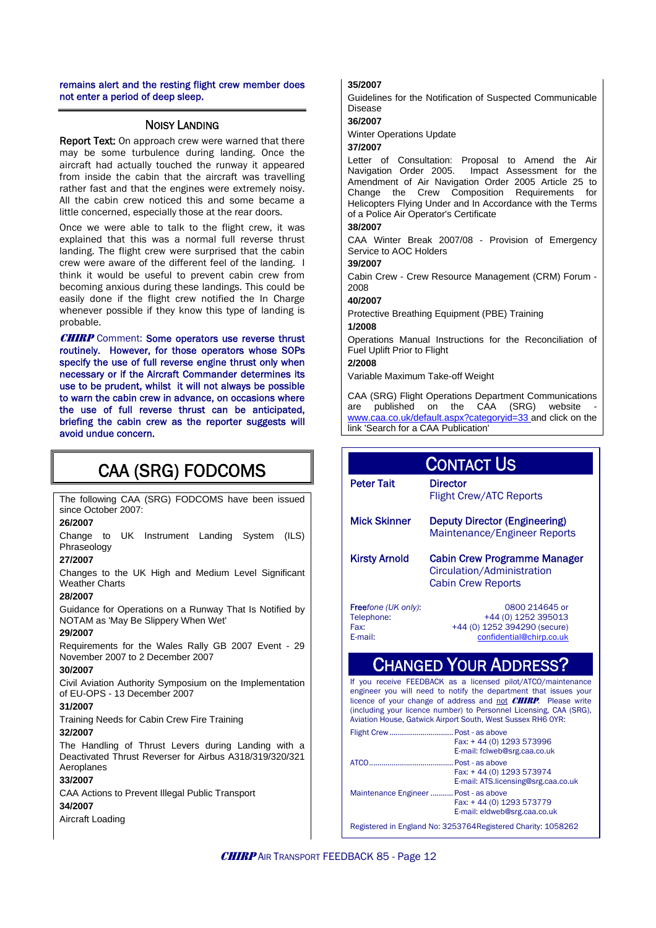remains alert and the resting flight crew member does not enter a period of deep sleep.

#### NOISY LANDING

Report Text: On approach crew were warned that there may be some turbulence during landing. Once the aircraft had actually touched the runway it appeared from inside the cabin that the aircraft was travelling rather fast and that the engines were extremely noisy. All the cabin crew noticed this and some became a little concerned, especially those at the rear doors.

Once we were able to talk to the flight crew, it was explained that this was a normal full reverse thrust landing. The flight crew were surprised that the cabin crew were aware of the different feel of the landing. I think it would be useful to prevent cabin crew from becoming anxious during these landings. This could be easily done if the flight crew notified the In Charge whenever possible if they know this type of landing is probable.

**CHIRP** Comment: Some operators use reverse thrust routinely. However, for those operators whose SOPs specify the use of full reverse engine thrust only when necessary or if the Aircraft Commander determines its use to be prudent, whilst it will not always be possible to warn the cabin crew in advance, on occasions where the use of full reverse thrust can be anticipated, briefing the cabin crew as the reporter suggests will avoid undue concern.

## CAA (SRG) FODCOMS

The following CAA (SRG) FODCOMS have been issued since October 2007:

#### **26/2007**

Change to UK Instrument Landing System (ILS) Phraseology

#### **27/2007**

Changes to the UK High and Medium Level Significant Weather Charts

#### **28/2007**

Guidance for Operations on a Runway That Is Notified by NOTAM as 'May Be Slippery When Wet'

#### **29/2007**

Requirements for the Wales Rally GB 2007 Event - 29 November 2007 to 2 December 2007

#### **30/2007**

Civil Aviation Authority Symposium on the Implementation of EU-OPS - 13 December 2007

#### **31/2007**

Training Needs for Cabin Crew Fire Training

#### **32/2007**

The Handling of Thrust Levers during Landing with a Deactivated Thrust Reverser for Airbus A318/319/320/321 Aeroplanes

#### **33/2007**

CAA Actions to Prevent Illegal Public Transport

#### **34/2007**

Aircraft Loading

#### **35/2007**

Guidelines for the Notification of Suspected Communicable Disease

#### **36/2007**

Winter Operations Update

#### **37/2007**

Letter of Consultation: Proposal to Amend the Air<br>Navigation Order 2005. Impact Assessment for the Impact Assessment for the Amendment of Air Navigation Order 2005 Article 25 to Change the Crew Composition Requirements for Helicopters Flying Under and In Accordance with the Terms of a Police Air Operator's Certificate

#### **38/2007**

CAA Winter Break 2007/08 - Provision of Emergency Service to AOC Holders

#### **39/2007**

Cabin Crew - Crew Resource Management (CRM) Forum - 2008

#### **40/2007**

Protective Breathing Equipment (PBE) Training

#### **1/2008**

Operations Manual Instructions for the Reconciliation of Fuel Uplift Prior to Flight

#### **2/2008**

Variable Maximum Take-off Weight

CAA (SRG) Flight Operations Department Communications are published on the CAA (SRG) website [www.caa.co.uk/default.aspx?categoryid=33](http://www.caa.co.uk/default.aspx?categoryid=33) and click on the link 'Search for a CAA Publication'

| CONTACT US                                                   |                                                                                                   |  |  |  |
|--------------------------------------------------------------|---------------------------------------------------------------------------------------------------|--|--|--|
| <b>Peter Tait</b>                                            | <b>Director</b><br><b>Flight Crew/ATC Reports</b>                                                 |  |  |  |
| <b>Mick Skinner</b>                                          | Deputy Director (Engineering)<br>Maintenance/Engineer Reports                                     |  |  |  |
| Kirsty Arnold                                                | <b>Cabin Crew Programme Manager</b><br>Circulation/Administration<br><b>Cabin Crew Reports</b>    |  |  |  |
| <b>Free</b> fone (UK only):<br>Telephone:<br>Fax:<br>E-mail: | 0800 214645 or<br>+44 (0) 1252 395013<br>+44 (0) 1252 394290 (secure)<br>confidential@chirp.co.uk |  |  |  |
| $\mathbf{R}$<br><b>DDDFOC</b>                                |                                                                                                   |  |  |  |

## CHANGED YOUR ADDRESS?

If you receive FEEDBACK as a licensed pilot/ATCO/maintenance engineer you will need to notify the department that issues your licence of your change of address and not **CHIRP**. Please write (including your licence number) to Personnel Licensing, CAA (SRG), Aviation House, Gatwick Airport South, West Sussex RH6 0YR:

| Flight Crew Post - as above           |                                                               |
|---------------------------------------|---------------------------------------------------------------|
|                                       | Fax: +44 (0) 1293 573996                                      |
|                                       | E-mail: fclweb@srg.caa.co.uk                                  |
|                                       | Post - as above                                               |
|                                       | Fax: +44 (0) 1293 573974                                      |
|                                       | E-mail: ATS.licensing@srg.caa.co.uk                           |
| Maintenance Engineer  Post - as above |                                                               |
|                                       | Fax: +44 (0) 1293 573779                                      |
|                                       | E-mail: eldweb@srg.caa.co.uk                                  |
|                                       | Registered in England No: 3253764 Registered Charity: 1058262 |